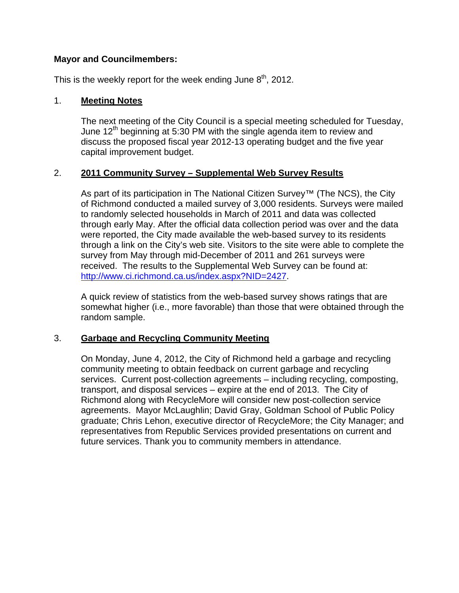# **Mayor and Councilmembers:**

This is the weekly report for the week ending June  $8<sup>th</sup>$ , 2012.

# 1. **Meeting Notes**

The next meeting of the City Council is a special meeting scheduled for Tuesday, June 12<sup>th</sup> beginning at 5:30 PM with the single agenda item to review and discuss the proposed fiscal year 2012-13 operating budget and the five year capital improvement budget.

# 2. **2011 Community Survey – Supplemental Web Survey Results**

As part of its participation in The National Citizen Survey™ (The NCS), the City of Richmond conducted a mailed survey of 3,000 residents. Surveys were mailed to randomly selected households in March of 2011 and data was collected through early May. After the official data collection period was over and the data were reported, the City made available the web-based survey to its residents through a link on the City's web site. Visitors to the site were able to complete the survey from May through mid-December of 2011 and 261 surveys were received. The results to the Supplemental Web Survey can be found at: http://www.ci.richmond.ca.us/index.aspx?NID=2427.

A quick review of statistics from the web-based survey shows ratings that are somewhat higher (i.e., more favorable) than those that were obtained through the random sample.

# 3. **Garbage and Recycling Community Meeting**

On Monday, June 4, 2012, the City of Richmond held a garbage and recycling community meeting to obtain feedback on current garbage and recycling services. Current post-collection agreements – including recycling, composting, transport, and disposal services – expire at the end of 2013. The City of Richmond along with RecycleMore will consider new post-collection service agreements. Mayor McLaughlin; David Gray, Goldman School of Public Policy graduate; Chris Lehon, executive director of RecycleMore; the City Manager; and representatives from Republic Services provided presentations on current and future services. Thank you to community members in attendance.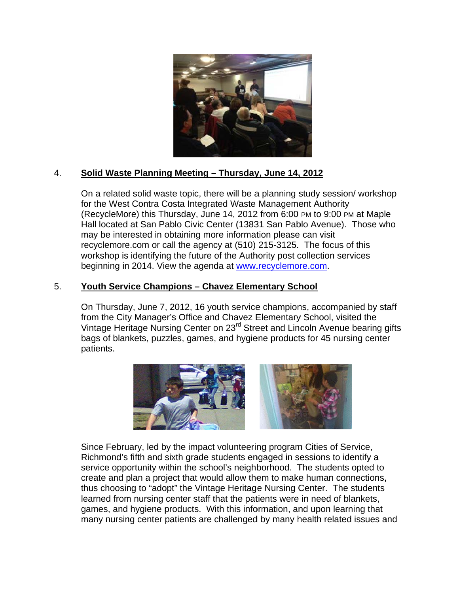

#### $\overline{4}$ . Solid Waste Planning Meeting - Thursday, June 14, 2012

On a related solid waste topic, there will be a planning study session/workshop for the West Contra Costa Integrated Waste Management Authority (RecycleMore) this Thursday, June 14, 2012 from 6:00 PM to 9:00 PM at Maple Hall located at San Pablo Civic Center (13831 San Pablo Avenue). Those who may be interested in obtaining more information please can visit recyclemore.com or call the agency at (510) 215-3125. The focus of this workshop is identifying the future of the Authority post collection services beginning in 2014. View the agenda at www.recyclemore.com.

#### $5<sub>1</sub>$ **Youth Service Champions - Chavez Elementary School**

On Thursday, June 7, 2012, 16 youth service champions, accompanied by staff from the City Manager's Office and Chavez Elementary School, visited the Vintage Heritage Nursing Center on 23<sup>rd</sup> Street and Lincoln Avenue bearing gifts bags of blankets, puzzles, games, and hygiene products for 45 nursing center patients.



Since February, led by the impact volunteering program Cities of Service, Richmond's fifth and sixth grade students engaged in sessions to identify a service opportunity within the school's neighborhood. The students opted to create and plan a project that would allow them to make human connections, thus choosing to "adopt" the Vintage Heritage Nursing Center. The students learned from nursing center staff that the patients were in need of blankets, games, and hygiene products. With this information, and upon learning that many nursing center patients are challenged by many health related issues and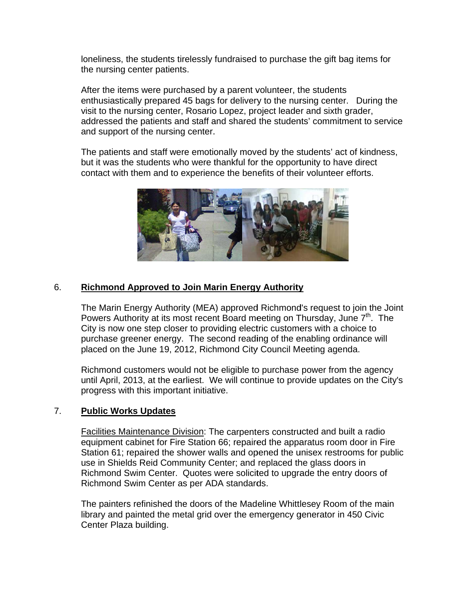loneliness, the students tirelessly fundraised to purchase the gift bag items for the nursing center patients.

After the items were purchased by a parent volunteer, the students enthusiastically prepared 45 bags for delivery to the nursing center. During the visit to the nursing center, Rosario Lopez, project leader and sixth grader, addressed the patients and staff and shared the students' commitment to service and support of the nursing center.

The patients and staff were emotionally moved by the students' act of kindness, but it was the students who were thankful for the opportunity to have direct contact with them and to experience the benefits of their volunteer efforts.



#### 6. **Richmond Approved to Join Marin Energy Authority**

The Marin Energy Authority (MEA) approved Richmond's request to join the Joint Powers Authority at its most recent Board meeting on Thursday, June 7<sup>th</sup>. The City is now one step closer to providing electric customers with a choice to purchase greener energy. The second reading of the enabling ordinance will placed on the June 19, 2012, Richmond City Council Meeting agenda.

Richmond customers would not be eligible to purchase power from the agency until April, 2013, at the earliest. We will continue to provide updates on the City's progress with this important initiative.

#### $7.$ **Public Works Updates**

Facilities Maintenance Division: The carpenters constructed and built a radio equipment cabinet for Fire Station 66: repaired the apparatus room door in Fire Station 61; repaired the shower walls and opened the unisex restrooms for public use in Shields Reid Community Center; and replaced the glass doors in Richmond Swim Center. Quotes were solicited to upgrade the entry doors of Richmond Swim Center as per ADA standards.

The painters refinished the doors of the Madeline Whittlesey Room of the main library and painted the metal grid over the emergency generator in 450 Civic Center Plaza building.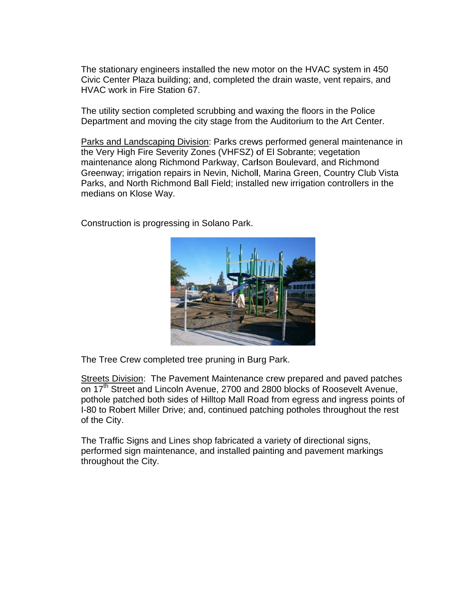The stationary engineers installed the new motor on the HVAC system in 450 Civic Center Plaza building; and, completed the drain waste, vent repairs, and HVAC work in Fire Station 67.

The utility section completed scrubbing and waxing the floors in the Police Department and moving the city stage from the Auditorium to the Art Center.

Parks and Landscaping Division: Parks crews performed general maintenance in the Very High Fire Severity Zones (VHFSZ) of El Sobrante; vegetation maintenance along Richmond Parkway, Carlson Boulevard, and Richmond Greenway; irrigation repairs in Nevin, Nicholl, Marina Green, Country Club Vista Parks, and North Richmond Ball Field; installed new irrigation controllers in the medians on Klose Way.

Construction is progressing in Solano Park.



The Tree Crew completed tree pruning in Burg Park.

Streets Division: The Pavement Maintenance crew prepared and paved patches on 17<sup>th</sup> Street and Lincoln Avenue, 2700 and 2800 blocks of Roosevelt Avenue, pothole patched both sides of Hilltop Mall Road from egress and ingress points of I-80 to Robert Miller Drive; and, continued patching potholes throughout the rest of the City.

The Traffic Signs and Lines shop fabricated a variety of directional signs, performed sign maintenance, and installed painting and pavement markings throughout the City.